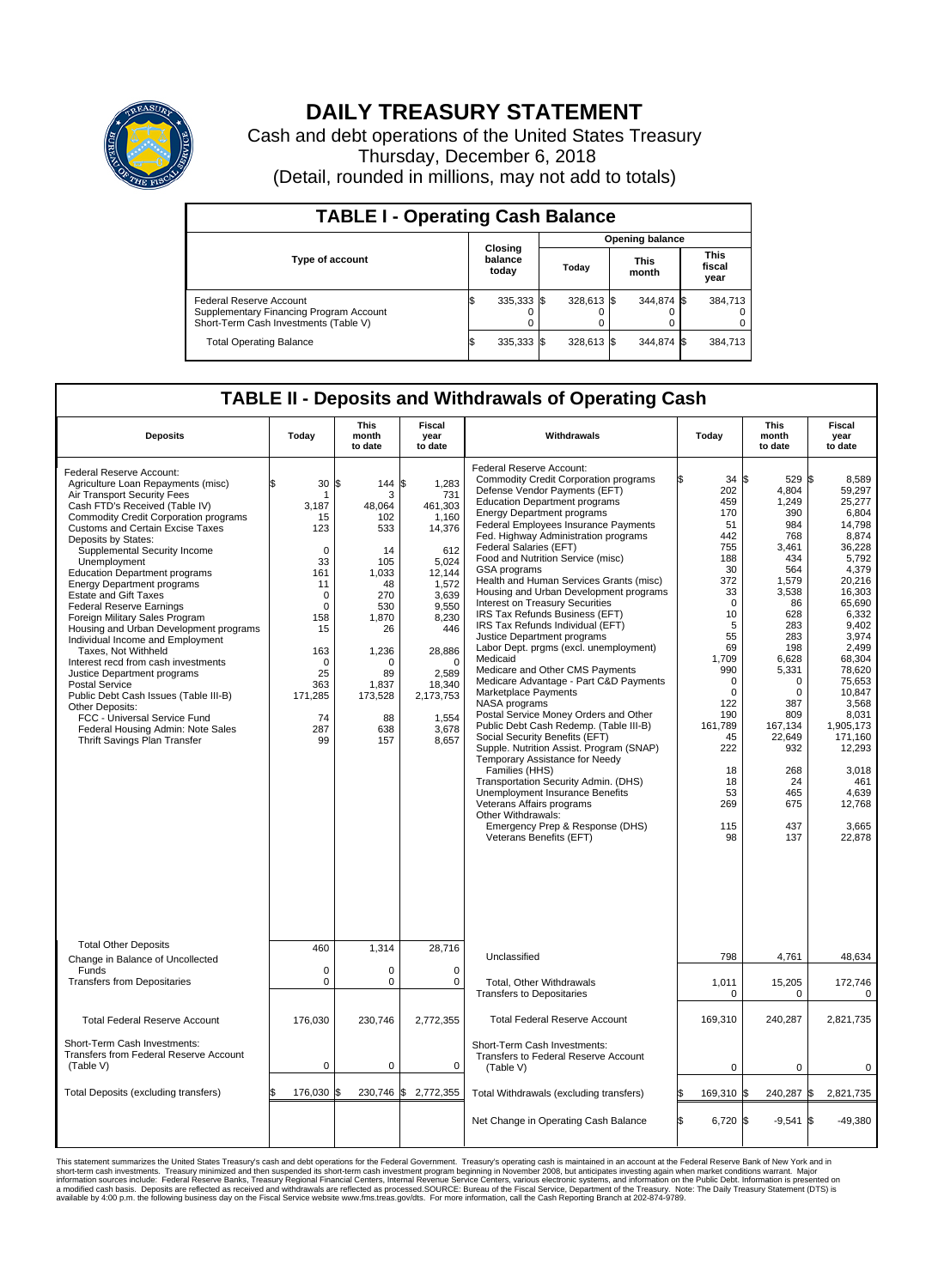

## **DAILY TREASURY STATEMENT**

Cash and debt operations of the United States Treasury Thursday, December 6, 2018 (Detail, rounded in millions, may not add to totals)

| <b>TABLE I - Operating Cash Balance</b>                                                                     |    |                             |                        |            |  |                      |  |                               |  |  |  |
|-------------------------------------------------------------------------------------------------------------|----|-----------------------------|------------------------|------------|--|----------------------|--|-------------------------------|--|--|--|
|                                                                                                             |    |                             | <b>Opening balance</b> |            |  |                      |  |                               |  |  |  |
| Type of account                                                                                             |    | Closing<br>balance<br>today |                        | Today      |  | <b>This</b><br>month |  | <b>This</b><br>fiscal<br>year |  |  |  |
| Federal Reserve Account<br>Supplementary Financing Program Account<br>Short-Term Cash Investments (Table V) |    | 335,333 \$                  |                        | 328,613 \$ |  | 344.874 \$           |  | 384,713                       |  |  |  |
| <b>Total Operating Balance</b>                                                                              | ß. | 335,333 \$                  |                        | 328,613 \$ |  | 344.874 \$           |  | 384,713                       |  |  |  |

## **TABLE II - Deposits and Withdrawals of Operating Cash**

| <b>Deposits</b>                                                                                                                                                                                                                                                                                                                                                                                                                                                                                                                                                                                                                                                                                                                                                                                                                                   | Today                                                                                                                                                                       | <b>This</b><br>month<br>to date                                                                                                                              | <b>Fiscal</b><br>year<br>to date                                                                                                                                                                           | Withdrawals                                                                                                                                                                                                                                                                                                                                                                                                                                                                                                                                                                                                                                                                                                                                                                                                                                                                                                                                                                                                                                                                                                                                                                            | Today                                                                                                                                                                                                                                  | <b>This</b><br>month<br>to date                                                                                                                                                                                                                | <b>Fiscal</b><br>year<br>to date                                                                                                                                                                                                                                                                      |
|---------------------------------------------------------------------------------------------------------------------------------------------------------------------------------------------------------------------------------------------------------------------------------------------------------------------------------------------------------------------------------------------------------------------------------------------------------------------------------------------------------------------------------------------------------------------------------------------------------------------------------------------------------------------------------------------------------------------------------------------------------------------------------------------------------------------------------------------------|-----------------------------------------------------------------------------------------------------------------------------------------------------------------------------|--------------------------------------------------------------------------------------------------------------------------------------------------------------|------------------------------------------------------------------------------------------------------------------------------------------------------------------------------------------------------------|----------------------------------------------------------------------------------------------------------------------------------------------------------------------------------------------------------------------------------------------------------------------------------------------------------------------------------------------------------------------------------------------------------------------------------------------------------------------------------------------------------------------------------------------------------------------------------------------------------------------------------------------------------------------------------------------------------------------------------------------------------------------------------------------------------------------------------------------------------------------------------------------------------------------------------------------------------------------------------------------------------------------------------------------------------------------------------------------------------------------------------------------------------------------------------------|----------------------------------------------------------------------------------------------------------------------------------------------------------------------------------------------------------------------------------------|------------------------------------------------------------------------------------------------------------------------------------------------------------------------------------------------------------------------------------------------|-------------------------------------------------------------------------------------------------------------------------------------------------------------------------------------------------------------------------------------------------------------------------------------------------------|
| Federal Reserve Account:<br>Agriculture Loan Repayments (misc)<br>Air Transport Security Fees<br>Cash FTD's Received (Table IV)<br><b>Commodity Credit Corporation programs</b><br>Customs and Certain Excise Taxes<br>Deposits by States:<br>Supplemental Security Income<br>Unemployment<br><b>Education Department programs</b><br><b>Energy Department programs</b><br><b>Estate and Gift Taxes</b><br><b>Federal Reserve Earnings</b><br>Foreign Military Sales Program<br>Housing and Urban Development programs<br>Individual Income and Employment<br>Taxes, Not Withheld<br>Interest recd from cash investments<br>Justice Department programs<br><b>Postal Service</b><br>Public Debt Cash Issues (Table III-B)<br>Other Deposits:<br>FCC - Universal Service Fund<br>Federal Housing Admin: Note Sales<br>Thrift Savings Plan Transfer | 30<br>1<br>3,187<br>15<br>123<br>$\mathbf 0$<br>33<br>161<br>11<br>$\mathbf 0$<br>$\mathbf 0$<br>158<br>15<br>163<br>$\mathbf 0$<br>25<br>363<br>171,285<br>74<br>287<br>99 | 1\$<br>144<br>3<br>48,064<br>102<br>533<br>14<br>105<br>1.033<br>48<br>270<br>530<br>1,870<br>26<br>1,236<br>n<br>89<br>1,837<br>173,528<br>88<br>638<br>157 | l\$<br>1,283<br>731<br>461,303<br>1,160<br>14,376<br>612<br>5,024<br>12.144<br>1,572<br>3,639<br>9.550<br>8,230<br>446<br>28,886<br>$\mathbf 0$<br>2,589<br>18,340<br>2,173,753<br>1,554<br>3,678<br>8,657 | Federal Reserve Account:<br><b>Commodity Credit Corporation programs</b><br>Defense Vendor Payments (EFT)<br><b>Education Department programs</b><br><b>Energy Department programs</b><br>Federal Employees Insurance Payments<br>Fed. Highway Administration programs<br>Federal Salaries (EFT)<br>Food and Nutrition Service (misc)<br><b>GSA</b> programs<br>Health and Human Services Grants (misc)<br>Housing and Urban Development programs<br>Interest on Treasury Securities<br>IRS Tax Refunds Business (EFT)<br>IRS Tax Refunds Individual (EFT)<br>Justice Department programs<br>Labor Dept. prgms (excl. unemployment)<br>Medicaid<br>Medicare and Other CMS Payments<br>Medicare Advantage - Part C&D Payments<br>Marketplace Payments<br>NASA programs<br>Postal Service Money Orders and Other<br>Public Debt Cash Redemp. (Table III-B)<br>Social Security Benefits (EFT)<br>Supple. Nutrition Assist. Program (SNAP)<br>Temporary Assistance for Needy<br>Families (HHS)<br>Transportation Security Admin. (DHS)<br>Unemployment Insurance Benefits<br>Veterans Affairs programs<br>Other Withdrawals:<br>Emergency Prep & Response (DHS)<br>Veterans Benefits (EFT) | 34S<br>202<br>459<br>170<br>51<br>442<br>755<br>188<br>30<br>372<br>33<br>$\mathbf 0$<br>10<br>5<br>55<br>69<br>1,709<br>990<br>$\mathbf 0$<br>$\mathbf 0$<br>122<br>190<br>161,789<br>45<br>222<br>18<br>18<br>53<br>269<br>115<br>98 | 529 \$<br>4,804<br>1,249<br>390<br>984<br>768<br>3.461<br>434<br>564<br>1,579<br>3,538<br>86<br>628<br>283<br>283<br>198<br>6,628<br>5,331<br>$\Omega$<br>0<br>387<br>809<br>167,134<br>22,649<br>932<br>268<br>24<br>465<br>675<br>437<br>137 | 8.589<br>59,297<br>25,277<br>6.804<br>14,798<br>8,874<br>36,228<br>5,792<br>4,379<br>20.216<br>16,303<br>65,690<br>6.332<br>9,402<br>3,974<br>2,499<br>68,304<br>78,620<br>75.653<br>10,847<br>3,568<br>8,031<br>1.905.173<br>171,160<br>12,293<br>3,018<br>461<br>4.639<br>12,768<br>3,665<br>22,878 |
| <b>Total Other Deposits</b>                                                                                                                                                                                                                                                                                                                                                                                                                                                                                                                                                                                                                                                                                                                                                                                                                       | 460                                                                                                                                                                         | 1,314                                                                                                                                                        | 28,716                                                                                                                                                                                                     | Unclassified                                                                                                                                                                                                                                                                                                                                                                                                                                                                                                                                                                                                                                                                                                                                                                                                                                                                                                                                                                                                                                                                                                                                                                           | 798                                                                                                                                                                                                                                    | 4,761                                                                                                                                                                                                                                          | 48,634                                                                                                                                                                                                                                                                                                |
| Change in Balance of Uncollected<br>Funds                                                                                                                                                                                                                                                                                                                                                                                                                                                                                                                                                                                                                                                                                                                                                                                                         | $\mathbf 0$                                                                                                                                                                 | $\Omega$                                                                                                                                                     | $\Omega$                                                                                                                                                                                                   |                                                                                                                                                                                                                                                                                                                                                                                                                                                                                                                                                                                                                                                                                                                                                                                                                                                                                                                                                                                                                                                                                                                                                                                        |                                                                                                                                                                                                                                        |                                                                                                                                                                                                                                                |                                                                                                                                                                                                                                                                                                       |
| <b>Transfers from Depositaries</b>                                                                                                                                                                                                                                                                                                                                                                                                                                                                                                                                                                                                                                                                                                                                                                                                                | $\mathbf 0$                                                                                                                                                                 | 0                                                                                                                                                            | 0                                                                                                                                                                                                          | Total, Other Withdrawals<br><b>Transfers to Depositaries</b>                                                                                                                                                                                                                                                                                                                                                                                                                                                                                                                                                                                                                                                                                                                                                                                                                                                                                                                                                                                                                                                                                                                           | 1,011<br>$\mathbf 0$                                                                                                                                                                                                                   | 15,205<br>0                                                                                                                                                                                                                                    | 172,746<br>0                                                                                                                                                                                                                                                                                          |
| <b>Total Federal Reserve Account</b>                                                                                                                                                                                                                                                                                                                                                                                                                                                                                                                                                                                                                                                                                                                                                                                                              | 176,030                                                                                                                                                                     | 230,746                                                                                                                                                      | 2,772,355                                                                                                                                                                                                  | <b>Total Federal Reserve Account</b>                                                                                                                                                                                                                                                                                                                                                                                                                                                                                                                                                                                                                                                                                                                                                                                                                                                                                                                                                                                                                                                                                                                                                   | 169,310                                                                                                                                                                                                                                | 240,287                                                                                                                                                                                                                                        | 2,821,735                                                                                                                                                                                                                                                                                             |
| Short-Term Cash Investments:<br>Transfers from Federal Reserve Account<br>(Table V)                                                                                                                                                                                                                                                                                                                                                                                                                                                                                                                                                                                                                                                                                                                                                               | $\pmb{0}$                                                                                                                                                                   | 0                                                                                                                                                            | 0                                                                                                                                                                                                          | Short-Term Cash Investments:<br>Transfers to Federal Reserve Account<br>(Table V)                                                                                                                                                                                                                                                                                                                                                                                                                                                                                                                                                                                                                                                                                                                                                                                                                                                                                                                                                                                                                                                                                                      | $\mathbf 0$                                                                                                                                                                                                                            | 0                                                                                                                                                                                                                                              | 0                                                                                                                                                                                                                                                                                                     |
| Total Deposits (excluding transfers)                                                                                                                                                                                                                                                                                                                                                                                                                                                                                                                                                                                                                                                                                                                                                                                                              | 176,030<br>\$                                                                                                                                                               | \$                                                                                                                                                           | 230,746 \$ 2,772,355                                                                                                                                                                                       | Total Withdrawals (excluding transfers)                                                                                                                                                                                                                                                                                                                                                                                                                                                                                                                                                                                                                                                                                                                                                                                                                                                                                                                                                                                                                                                                                                                                                | 169,310 \$<br>\$                                                                                                                                                                                                                       | 240,287 \$                                                                                                                                                                                                                                     | 2,821,735                                                                                                                                                                                                                                                                                             |
|                                                                                                                                                                                                                                                                                                                                                                                                                                                                                                                                                                                                                                                                                                                                                                                                                                                   |                                                                                                                                                                             |                                                                                                                                                              |                                                                                                                                                                                                            | Net Change in Operating Cash Balance                                                                                                                                                                                                                                                                                                                                                                                                                                                                                                                                                                                                                                                                                                                                                                                                                                                                                                                                                                                                                                                                                                                                                   | Ŝ.<br>6,720 \$                                                                                                                                                                                                                         | $-9,541$                                                                                                                                                                                                                                       | l\$<br>$-49,380$                                                                                                                                                                                                                                                                                      |

This statement summarizes the United States Treasury's cash and debt operations for the Federal Government. Treasury soperating in November 2008, but anticiarded in a cocount at the Federal Reserve Bank of New York and in<br>